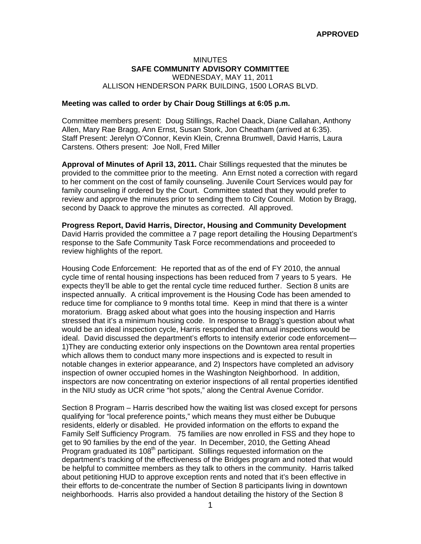# MINUTES **SAFE COMMUNITY ADVISORY COMMITTEE**  WEDNESDAY, MAY 11, 2011 ALLISON HENDERSON PARK BUILDING, 1500 LORAS BLVD.

## **Meeting was called to order by Chair Doug Stillings at 6:05 p.m.**

Committee members present: Doug Stillings, Rachel Daack, Diane Callahan, Anthony Allen, Mary Rae Bragg, Ann Ernst, Susan Stork, Jon Cheatham (arrived at 6:35). Staff Present: Jerelyn O'Connor, Kevin Klein, Crenna Brumwell, David Harris, Laura Carstens. Others present: Joe Noll, Fred Miller

**Approval of Minutes of April 13, 2011.** Chair Stillings requested that the minutes be provided to the committee prior to the meeting. Ann Ernst noted a correction with regard to her comment on the cost of family counseling. Juvenile Court Services would pay for family counseling if ordered by the Court. Committee stated that they would prefer to review and approve the minutes prior to sending them to City Council. Motion by Bragg, second by Daack to approve the minutes as corrected. All approved.

**Progress Report, David Harris, Director, Housing and Community Development**  David Harris provided the committee a 7 page report detailing the Housing Department's response to the Safe Community Task Force recommendations and proceeded to review highlights of the report.

Housing Code Enforcement: He reported that as of the end of FY 2010, the annual cycle time of rental housing inspections has been reduced from 7 years to 5 years. He expects they'll be able to get the rental cycle time reduced further. Section 8 units are inspected annually. A critical improvement is the Housing Code has been amended to reduce time for compliance to 9 months total time. Keep in mind that there is a winter moratorium. Bragg asked about what goes into the housing inspection and Harris stressed that it's a minimum housing code. In response to Bragg's question about what would be an ideal inspection cycle, Harris responded that annual inspections would be ideal. David discussed the department's efforts to intensify exterior code enforcement— 1)They are conducting exterior only inspections on the Downtown area rental properties which allows them to conduct many more inspections and is expected to result in notable changes in exterior appearance, and 2) Inspectors have completed an advisory inspection of owner occupied homes in the Washington Neighborhood. In addition, inspectors are now concentrating on exterior inspections of all rental properties identified in the NIU study as UCR crime "hot spots," along the Central Avenue Corridor.

Section 8 Program – Harris described how the waiting list was closed except for persons qualifying for "local preference points," which means they must either be Dubuque residents, elderly or disabled. He provided information on the efforts to expand the Family Self Sufficiency Program. 75 families are now enrolled in FSS and they hope to get to 90 families by the end of the year. In December, 2010, the Getting Ahead Program graduated its  $108<sup>th</sup>$  participant. Stillings requested information on the department's tracking of the effectiveness of the Bridges program and noted that would be helpful to committee members as they talk to others in the community. Harris talked about petitioning HUD to approve exception rents and noted that it's been effective in their efforts to de-concentrate the number of Section 8 participants living in downtown neighborhoods. Harris also provided a handout detailing the history of the Section 8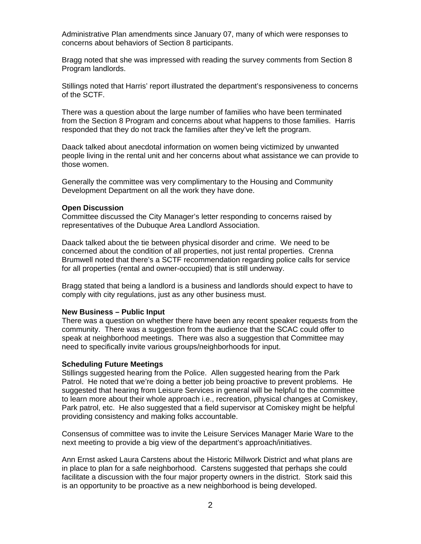Administrative Plan amendments since January 07, many of which were responses to concerns about behaviors of Section 8 participants.

Bragg noted that she was impressed with reading the survey comments from Section 8 Program landlords.

Stillings noted that Harris' report illustrated the department's responsiveness to concerns of the SCTF.

There was a question about the large number of families who have been terminated from the Section 8 Program and concerns about what happens to those families. Harris responded that they do not track the families after they've left the program.

Daack talked about anecdotal information on women being victimized by unwanted people living in the rental unit and her concerns about what assistance we can provide to those women.

Generally the committee was very complimentary to the Housing and Community Development Department on all the work they have done.

### **Open Discussion**

Committee discussed the City Manager's letter responding to concerns raised by representatives of the Dubuque Area Landlord Association.

Daack talked about the tie between physical disorder and crime. We need to be concerned about the condition of all properties, not just rental properties. Crenna Brumwell noted that there's a SCTF recommendation regarding police calls for service for all properties (rental and owner-occupied) that is still underway.

Bragg stated that being a landlord is a business and landlords should expect to have to comply with city regulations, just as any other business must.

#### **New Business – Public Input**

There was a question on whether there have been any recent speaker requests from the community. There was a suggestion from the audience that the SCAC could offer to speak at neighborhood meetings. There was also a suggestion that Committee may need to specifically invite various groups/neighborhoods for input.

#### **Scheduling Future Meetings**

Stillings suggested hearing from the Police. Allen suggested hearing from the Park Patrol. He noted that we're doing a better job being proactive to prevent problems. He suggested that hearing from Leisure Services in general will be helpful to the committee to learn more about their whole approach i.e., recreation, physical changes at Comiskey, Park patrol, etc. He also suggested that a field supervisor at Comiskey might be helpful providing consistency and making folks accountable.

Consensus of committee was to invite the Leisure Services Manager Marie Ware to the next meeting to provide a big view of the department's approach/initiatives.

Ann Ernst asked Laura Carstens about the Historic Millwork District and what plans are in place to plan for a safe neighborhood. Carstens suggested that perhaps she could facilitate a discussion with the four major property owners in the district. Stork said this is an opportunity to be proactive as a new neighborhood is being developed.